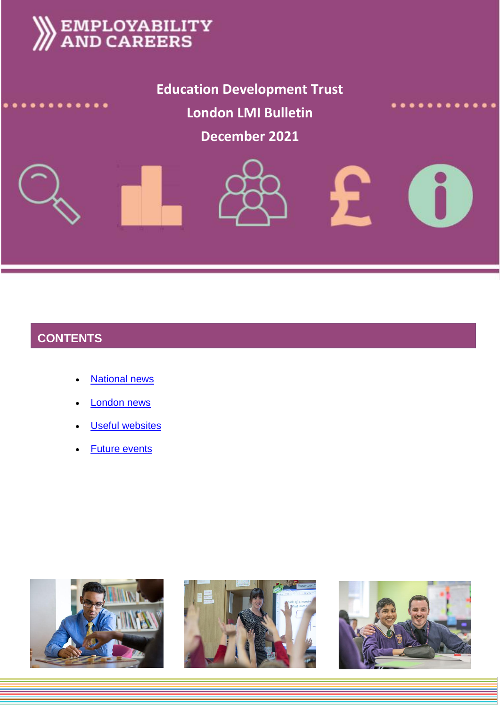# **EMPLOYABILITY<br>AND CAREERS**

**Education Development Trust London LMI Bulletin**

# **December 2021**





# **CONTENTS**

- **[National news](#page-1-0)**
- [London news](#page-5-0)
- **[Useful websites](#page-5-1)**
- [Future events](#page-6-0)





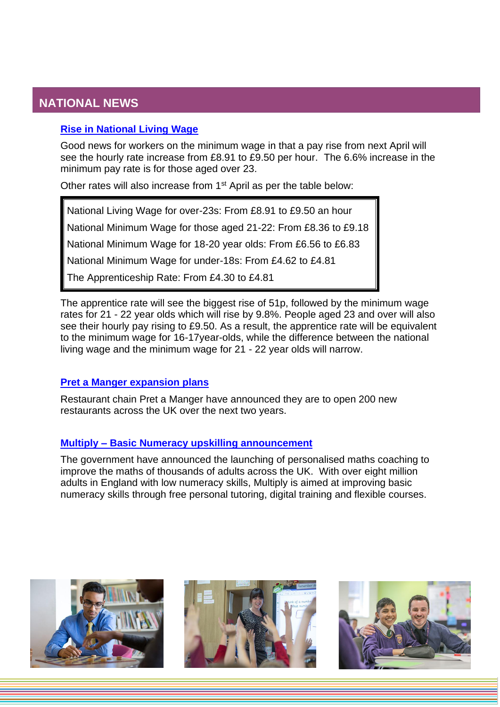# <span id="page-1-0"></span>**NATIONAL NEWS**

#### **[Rise in National Living](https://www.bbc.co.uk/news/business-59038076) Wage**

Good news for workers on the minimum wage in that a pay rise from next April will see the hourly rate increase from £8.91 to £9.50 per hour. The 6.6% increase in the minimum pay rate is for those aged over 23.

Other rates will also increase from 1<sup>st</sup> April as per the table below:

National Living Wage for over-23s: From £8.91 to £9.50 an hour

National Minimum Wage for those aged 21-22: From £8.36 to £9.18

National Minimum Wage for 18-20 year olds: From £6.56 to £6.83

National Minimum Wage for under-18s: From £4.62 to £4.81

The Apprenticeship Rate: From £4.30 to £4.81

The apprentice rate will see the biggest rise of 51p, followed by the minimum wage rates for 21 - 22 year olds which will rise by 9.8%. People aged 23 and over will also see their hourly pay rising to £9.50. As a result, the apprentice rate will be equivalent to the minimum wage for 16-17year-olds, while the difference between the national living wage and the minimum wage for 21 - 22 year olds will narrow.

#### **[Pret a Manger expansion plans](https://www.business-live.co.uk/retail-consumer/pret-manger-open-200-more-21639826)**

Restaurant chain Pret a Manger have announced they are to open 200 new restaurants across the UK over the next two years.

#### **Multiply – [Basic Numeracy upskilling announcement](https://www.fenews.co.uk/press-releases/78758-new-560-million-multiply-programme-to-be-launched-providing-personalised-maths-coaching-for-up-to-half-a-million-people-across-the-uk)**

The government have announced the launching of personalised maths coaching to improve the maths of thousands of adults across the UK. With over eight million adults in England with low numeracy skills, Multiply is aimed at improving basic numeracy skills through free personal tutoring, digital training and flexible courses.





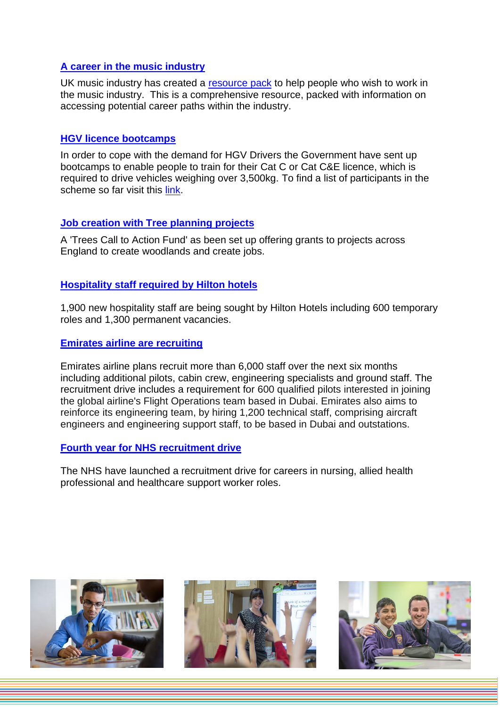#### **[A career in the music industry](https://www.ukmusic.org/education-skills/uk-music-careers-information-pack/)**

UK music industry has created a [resource pack](https://www.ukmusic.org/education-skills/uk-music-careers-information-pack/) to help people who wish to work in the music industry. This is a comprehensive resource, packed with information on accessing potential career paths within the industry.

#### **[HGV licence bootcamps](https://www.gov.uk/government/publications/find-a-skills-bootcamp/list-of-skills-bootcamps)**

In order to cope with the demand for HGV Drivers the Government have sent up bootcamps to enable people to train for their Cat C or Cat C&E licence, which is required to drive vehicles weighing over 3,500kg. To find a list of participants in the scheme so far visit this [link.](https://www.gov.uk/government/publications/find-a-skills-bootcamp/list-of-skills-bootcamps)

#### **[Job creation with Tree planning projects](https://www.gov.uk/government/news/extra-funding-to-create-jobs-expand-woodlands-and-protect-trees)**

A 'Trees Call to Action Fund' as been set up offering grants to projects across England to create woodlands and create jobs.

#### **[Hospitality staff required by Hilton hotels](https://www.boutiquehotelier.com/hilton-to-recruit-almost-2000-roles-nationwide-in-preparation-for-christmas-events-rush/)**

1,900 new hospitality staff are being sought by Hilton Hotels including 600 temporary roles and 1,300 permanent vacancies.

#### **[Emirates airline are recruiting](https://gulfnews.com/business/aviation/dubais-emirates-airline-to-take-in-6000-operational-staff-including-pilots-1.1635155664993)**

Emirates airline plans recruit more than 6,000 staff over the next six months including additional pilots, cabin crew, engineering specialists and ground staff. The recruitment drive includes a requirement for 600 qualified pilots interested in joining the global airline's Flight Operations team based in Dubai. Emirates also aims to reinforce its engineering team, by hiring 1,200 technical staff, comprising aircraft engineers and engineering support staff, to be based in Dubai and outstations.

#### **[Fourth year for NHS recruitment drive](https://www.nursingtimes.net/news/workforce/nhs-england-launches-fourth-annual-nurse-recruitment-campaign-21-10-2021/)**

The NHS have launched a recruitment drive for careers in nursing, allied health professional and healthcare support worker roles.





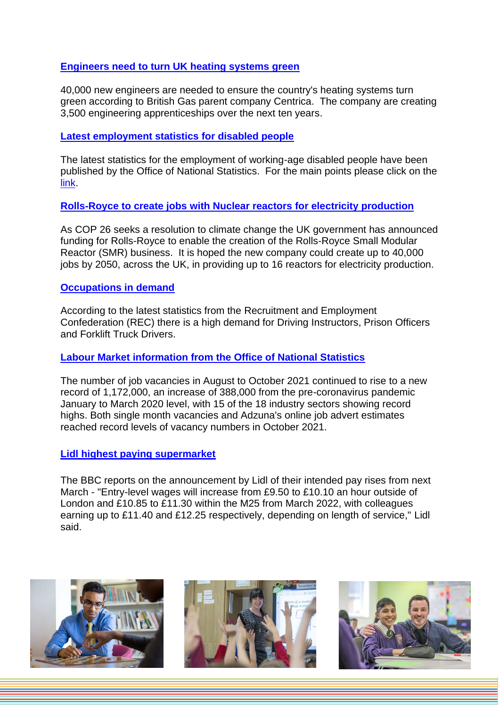#### **[Engineers need to turn UK heating systems green](https://www.business-live.co.uk/technology/british-gas-boss-uk-needs-22042742)**

40,000 new engineers are needed to ensure the country's heating systems turn green according to British Gas parent company Centrica. The company are creating 3,500 engineering apprenticeships over the next ten years.

#### **[Latest employment statistics for disabled people](https://www.gov.uk/government/statistics/the-employment-of-disabled-people-2021/the-employment-of-disabled-people-2021)**

The latest statistics for the employment of working-age disabled people have been published by the Office of National Statistics. For the main points please click on the [link.](https://www.gov.uk/government/statistics/the-employment-of-disabled-people-2021/the-employment-of-disabled-people-2021)

#### **[Rolls-Royce to create jobs with Nuclear reactors for electricity production](https://www.bbc.co.uk/news/business-59212983)**

As COP 26 seeks a resolution to climate change the UK government has announced funding for Rolls-Royce to enable the creation of the Rolls-Royce Small Modular Reactor (SMR) business. It is hoped the new company could create up to 40,000 jobs by 2050, across the UK, in providing up to 16 reactors for electricity production.

#### **[Occupations in demand](https://www.bbc.co.uk/news/business-59251982)**

According to the latest statistics from the Recruitment and Employment Confederation (REC) there is a high demand for Driving Instructors, Prison Officers and Forklift Truck Drivers.

#### **[Labour Market information from the Office of National Statistics](https://www.ons.gov.uk/employmentandlabourmarket/peopleinwork/employmentandemployeetypes/bulletins/uklabourmarket/november2021#main-points)**

The number of job vacancies in August to October 2021 continued to rise to a new record of 1,172,000, an increase of 388,000 from the pre-coronavirus pandemic January to March 2020 level, with 15 of the 18 industry sectors showing record highs. Both single month vacancies and Adzuna's online job advert estimates reached record levels of vacancy numbers in October 2021.

#### **[Lidl highest paying supermarket](https://www.bbc.co.uk/news/business-59306232)**

The BBC reports on the announcement by Lidl of their intended pay rises from next March - "Entry-level wages will increase from £9.50 to £10.10 an hour outside of London and £10.85 to £11.30 within the M25 from March 2022, with colleagues earning up to £11.40 and £12.25 respectively, depending on length of service," Lidl said.





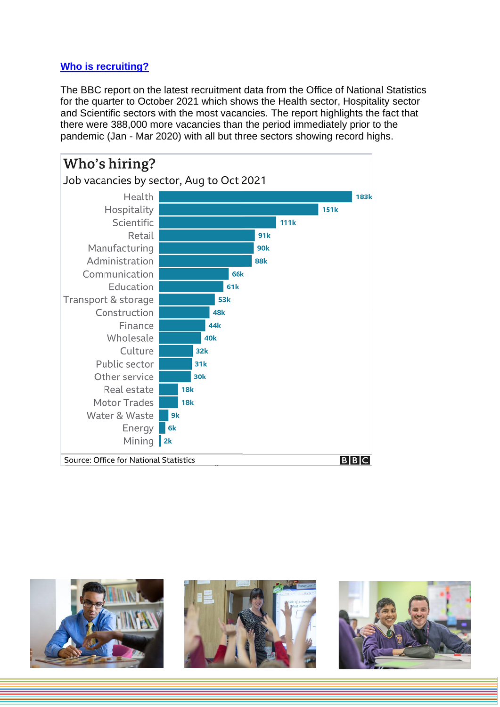#### **[Who is recruiting?](https://www.bbc.co.uk/news/explainers-53685650)**

The BBC report on the latest recruitment data from the Office of National Statistics for the quarter to October 2021 which shows the Health sector, Hospitality sector and Scientific sectors with the most vacancies. The report highlights the fact that there were 388,000 more vacancies than the period immediately prior to the pandemic (Jan - Mar 2020) with all but three sectors showing record highs.







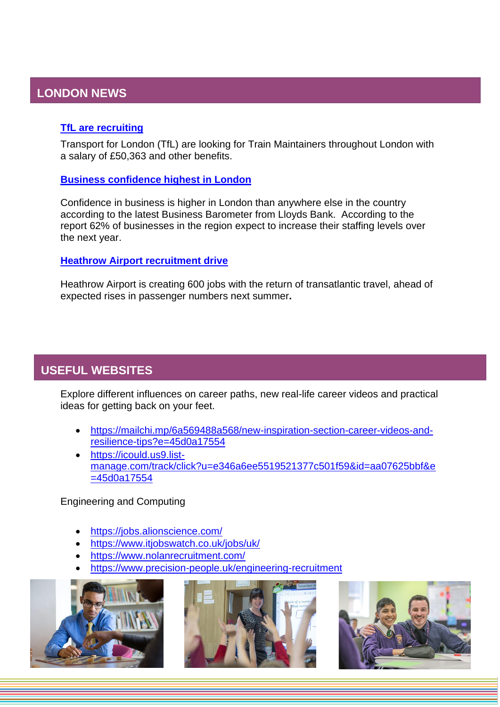## <span id="page-5-0"></span>**LONDON NEWS**

#### **[TfL are recruiting](https://www.mylondon.news/news/zone-1-news/london-underground-tfl-hiring-tube-22243181.amp?fr=operanews)**

Transport for London (TfL) are looking for Train Maintainers throughout London with a salary of £50,363 and other benefits.

#### **[Business confidence highest in London](https://londonlovesbusiness.com/london-business-confidence-remains-highest-in-the-uk/)**

Confidence in business is higher in London than anywhere else in the country according to the latest Business Barometer from Lloyds Bank. According to the report 62% of businesses in the region expect to increase their staffing levels over the next year.

#### **[Heathrow Airport recruitment drive](https://www.bdaily.co.uk/articles/2021/11/11/heathrow-to-create-600-jobs-as-transatlantic-travel-returns)**

Heathrow Airport is creating 600 jobs with the return of transatlantic travel, ahead of expected rises in passenger numbers next summer**.**

## <span id="page-5-1"></span>**USEFUL WEBSITES**

Explore different influences on career paths, new real-life career videos and practical ideas for getting back on your feet.

- [https://mailchi.mp/6a569488a568/new-inspiration-section-career-videos-and](https://protect-eu.mimecast.com/s/Fe0wCyoEgTrlWZ8cLTw4s?domain=mailchi.mp)[resilience-tips?e=45d0a17554](https://protect-eu.mimecast.com/s/Fe0wCyoEgTrlWZ8cLTw4s?domain=mailchi.mp)
- [https://icould.us9.list](https://icould.us9.list-manage.com/track/click?u=e346a6ee5519521377c501f59&id=aa07625bbf&e=45d0a17554)[manage.com/track/click?u=e346a6ee5519521377c501f59&id=aa07625bbf&e](https://icould.us9.list-manage.com/track/click?u=e346a6ee5519521377c501f59&id=aa07625bbf&e=45d0a17554) [=45d0a17554](https://icould.us9.list-manage.com/track/click?u=e346a6ee5519521377c501f59&id=aa07625bbf&e=45d0a17554)

Engineering and Computing

- <https://jobs.alionscience.com/>
- <https://www.itjobswatch.co.uk/jobs/uk/>
- <https://www.nolanrecruitment.com/>
- <https://www.precision-people.uk/engineering-recruitment>





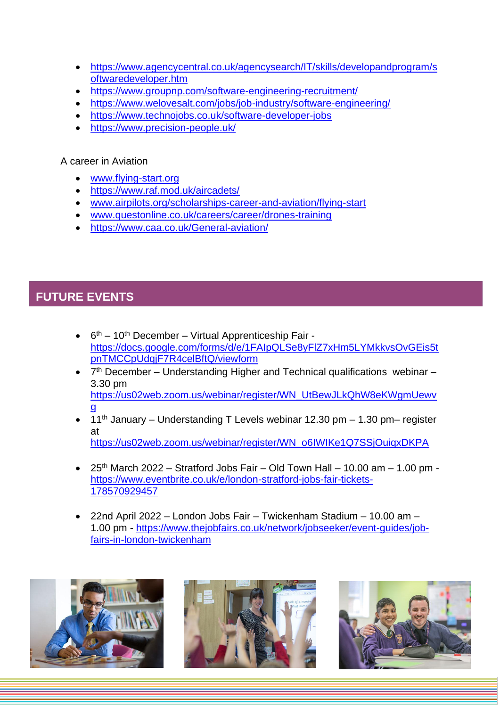- [https://www.agencycentral.co.uk/agencysearch/IT/skills/developandprogram/s](https://www.agencycentral.co.uk/agencysearch/IT/skills/developandprogram/softwaredeveloper.htm) [oftwaredeveloper.htm](https://www.agencycentral.co.uk/agencysearch/IT/skills/developandprogram/softwaredeveloper.htm)
- <https://www.groupnp.com/software-engineering-recruitment/>
- <https://www.welovesalt.com/jobs/job-industry/software-engineering/>
- <https://www.technojobs.co.uk/software-developer-jobs>
- <https://www.precision-people.uk/>

#### A career in Aviation

- [www.flying-start.org](http://www.flying-start.org/)
- <https://www.raf.mod.uk/aircadets/>
- [www.airpilots.org/scholarships-career-and-aviation/flying-start](http://www.airpilots.org/scholarships-career-and-aviation/flying-start)
- [www.questonline.co.uk/careers/career/drones-training](http://www.questonline.co.uk/careers/career/drones-training)
- <https://www.caa.co.uk/General-aviation/>

## <span id="page-6-0"></span>**FUTURE EVENTS**

- $\cdot$  6<sup>th</sup> 10<sup>th</sup> December Virtual Apprenticeship Fair [https://docs.google.com/forms/d/e/1FAIpQLSe8yFlZ7xHm5LYMkkvsOvGEis5t](https://docs.google.com/forms/d/e/1FAIpQLSe8yFlZ7xHm5LYMkkvsOvGEis5tpnTMCCpUdqjF7R4celBftQ/viewform) [pnTMCCpUdqjF7R4celBftQ/viewform](https://docs.google.com/forms/d/e/1FAIpQLSe8yFlZ7xHm5LYMkkvsOvGEis5tpnTMCCpUdqjF7R4celBftQ/viewform)
- $\bullet$   $7<sup>th</sup>$  December Understanding Higher and Technical qualifications webinar 3.30 pm [https://us02web.zoom.us/webinar/register/WN\\_UtBewJLkQhW8eKWgmUewv](https://us02web.zoom.us/webinar/register/WN_UtBewJLkQhW8eKWgmUewvg) [g](https://us02web.zoom.us/webinar/register/WN_UtBewJLkQhW8eKWgmUewvg)
- 11<sup>th</sup> January Understanding T Levels webinar 12.30 pm 1.30 pm– register at [https://us02web.zoom.us/webinar/register/WN\\_o6IWIKe1Q7SSjOuiqxDKPA](https://us02web.zoom.us/webinar/register/WN_o6IWIKe1Q7SSjOuiqxDKPA)
- 25<sup>th</sup> March 2022 Stratford Jobs Fair Old Town Hall 10.00 am 1.00 pm [https://www.eventbrite.co.uk/e/london-stratford-jobs-fair-tickets-](https://www.eventbrite.co.uk/e/london-stratford-jobs-fair-tickets-178570929457)[178570929457](https://www.eventbrite.co.uk/e/london-stratford-jobs-fair-tickets-178570929457)
- 22nd April 2022 London Jobs Fair Twickenham Stadium 10.00 am 1.00 pm - [https://www.thejobfairs.co.uk/network/jobseeker/event-guides/job](https://www.thejobfairs.co.uk/network/jobseeker/event-guides/job-fairs-in-london-twickenham)[fairs-in-london-twickenham](https://www.thejobfairs.co.uk/network/jobseeker/event-guides/job-fairs-in-london-twickenham)